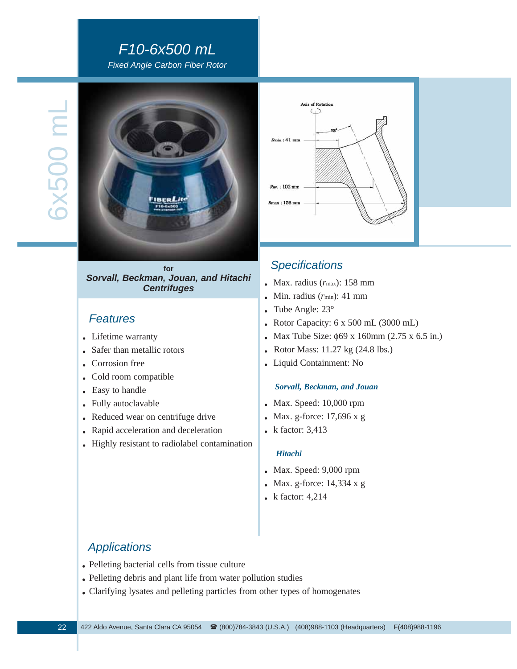# *F10-6x500 mL Fixed Angle Carbon Fiber Rotor*

5x500 mL 6x500 mL



**for** *Sorvall, Beckman, Jouan, and Hitachi Centrifuges*

## *Features*

- . Lifetime warranty
- . Safer than metallic rotors
- . Corrosion free
- . Cold room compatible
- . Easy to handle
- . Fully autoclavable
- . Reduced wear on centrifuge drive
- . Rapid acceleration and deceleration
- . Highly resistant to radiolabel contamination



# *Specifications*

- . Max. radius (*r*max): 158 mm
- . Min. radius (*r*min): 41 mm
- . Tube Angle: 23°
- . Rotor Capacity: 6 x 500 mL (3000 mL)
- . Max Tube Size: φ69 x 160mm (2.75 x 6.5 in.)
- . Rotor Mass: 11.27 kg (24.8 lbs.)
- . Liquid Containment: No

#### *Sorvall, Beckman, and Jouan*

- . Max. Speed: 10,000 rpm
- . Max. g-force: 17,696 x g
- k factor: 3,413

#### *Hitachi*

- . Max. Speed: 9,000 rpm
- . Max. g-force: 14,334 x g
- . k factor: 4,214

# *Applications*

- . Pelleting bacterial cells from tissue culture
- . Pelleting debris and plant life from water pollution studies
- . Clarifying lysates and pelleting particles from other types of homogenates